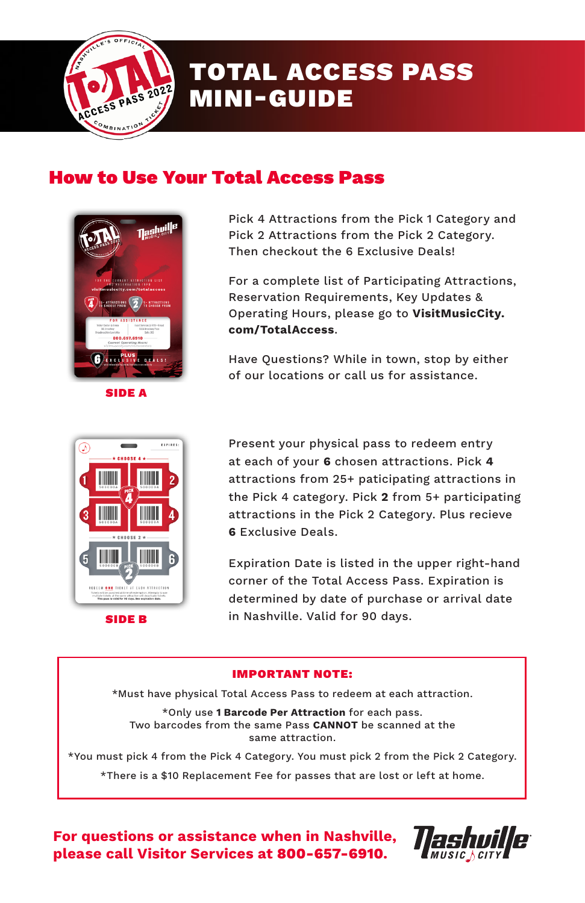

# TOTAL ACCESS PASS MINI-GUIDE

## How to Use Your Total Access Pass



SIDE A

Pick 4 Attractions from the Pick 1 Category and Pick 2 Attractions from the Pick 2 Category. Then checkout the 6 Exclusive Deals!

For a complete list of Participating Attractions, Reservation Requirements, Key Updates & Operating Hours, please go to **VisitMusicCity. com/TotalAccess**.

Have Questions? While in town, stop by either of our locations or call us for assistance.



Present your physical pass to redeem entry at each of your **6** chosen attractions. Pick **4** attractions from 25+ paticipating attractions in the Pick 4 category. Pick **2** from 5+ participating attractions in the Pick 2 Category. Plus recieve **6** Exclusive Deals.

Expiration Date is listed in the upper right-hand corner of the Total Access Pass. Expiration is determined by date of purchase or arrival date **SIDE B** in Nashville. Valid for 90 days.

#### IMPORTANT NOTE:

\*Must have physical Total Access Pass to redeem at each attraction.

\*Only use **1 Barcode Per Attraction** for each pass. Two barcodes from the same Pass **CANNOT** be scanned at the same attraction.

\*You must pick 4 from the Pick 4 Category. You must pick 2 from the Pick 2 Category.

\*There is a \$10 Replacement Fee for passes that are lost or left at home.

**For questions or assistance when in Nashville, please call Visitor Services at 800-657-6910.**